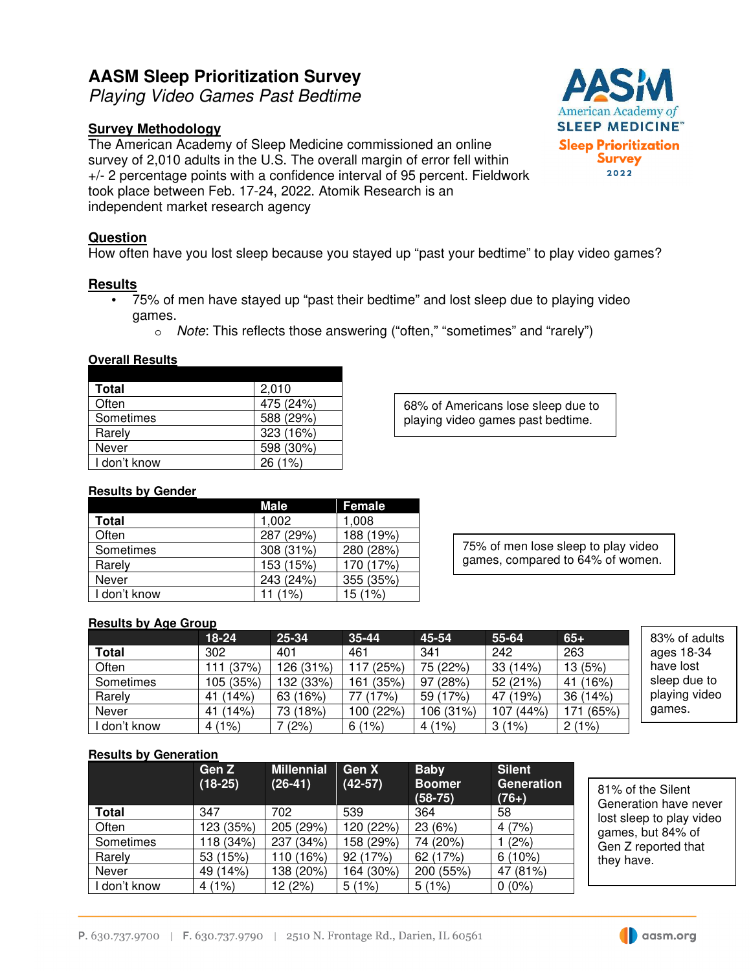# **AASM Sleep Prioritization Survey**

Playing Video Games Past Bedtime

## **Survey Methodology**

The American Academy of Sleep Medicine commissioned an online survey of 2,010 adults in the U.S. The overall margin of error fell within +/- 2 percentage points with a confidence interval of 95 percent. Fieldwork took place between Feb. 17-24, 2022. Atomik Research is an independent market research agency

## **Question**

How often have you lost sleep because you stayed up "past your bedtime" to play video games?

#### **Results**

- 75% of men have stayed up "past their bedtime" and lost sleep due to playing video games.
	- o Note: This reflects those answering ("often," "sometimes" and "rarely")

| ovciali results |           |
|-----------------|-----------|
|                 |           |
| Total           | 2,010     |
| Often           | 475 (24%) |
| Sometimes       | 588 (29%) |
| Rarely          | 323 (16%) |
| Never           | 598 (30%) |
| I don't know    | 26(1%)    |

**Overall Results** 

68% of Americans lose sleep due to playing video games past bedtime.

### **Results by Gender**

|              | Male      | <b>Female</b> |
|--------------|-----------|---------------|
| Total        | 1,002     | 1.008         |
| Often        | 287 (29%) | 188 (19%)     |
| Sometimes    | 308 (31%) | 280 (28%)     |
| Rarely       | 153 (15%) | 170 (17%)     |
| Never        | 243 (24%) | 355 (35%)     |
| I don't know | 11 (1%)   | 15 (1%)       |

75% of men lose sleep to play video games, compared to 64% of women.

### **Results by Age Group**

|              | $18-24$   | 25-34     | $35 - 44$ | 45-54     | 55-64     | $65 +$       | 83% of adults |
|--------------|-----------|-----------|-----------|-----------|-----------|--------------|---------------|
| <b>Total</b> | 302       | 401       | 461       | 341       | 242       | 263          | ages 18-34    |
| Often        | 111 (37%) | 126 (31%) | 117 (25%) | 75 (22%)  | 33(14%)   | 13(5%)       | have lost     |
| Sometimes    | 105 (35%) | 132 (33%) | 161 (35%) | 97 (28%)  | 52 (21%)  | 41 (16%)     | sleep due to  |
| Rarely       | 41 (14%)  | 63 (16%)  | 77 (17%)  | 59 (17%)  | 47 (19%)  | 36(14%)      | playing video |
| Never        | 41 (14%)  | 73 (18%)  | 100 (22%) | 106 (31%) | 107 (44%) | (65%)<br>171 | games.        |
| don't know   | 4(1%)     | (2%)      | 6(1%)     | 4(1%)     | 3(1%)     | 2(1%)        |               |

#### **Results by Generation**

|              | Gen Z<br>$(18-25)$ | <b>Millennial</b><br>$(26-41)$ | Gen X<br>$(42-57)$ | <b>Baby</b><br><b>Boomer</b><br>$(58-75)$ | <b>Silent</b><br>Generation<br>$(76+)$ |
|--------------|--------------------|--------------------------------|--------------------|-------------------------------------------|----------------------------------------|
| Total        | 347                | 702                            | 539                | 364                                       | 58                                     |
| Often        | 123 (35%)          | 205 (29%)                      | 120 (22%)          | 23 (6%)                                   | 4(7%)                                  |
| Sometimes    | 118 (34%)          | 237 (34%)                      | 158 (29%)          | 74 (20%)                                  | (2%)                                   |
| Rarely       | 53 (15%)           | 110 (16%)                      | 92 (17%)           | 62 (17%)                                  | $6(10\%)$                              |
| Never        | 49 (14%)           | 138 (20%)                      | 164 (30%)          | 200 (55%)                                 | 47 (81%)                               |
| I don't know | 4(1%)              | 12 (2%)                        | 5(1%)              | 5(1%)                                     | $0(0\%)$                               |

81% of the Silent Generation have never lost sleep to play video games, but 84% of Gen Z reported that they have.